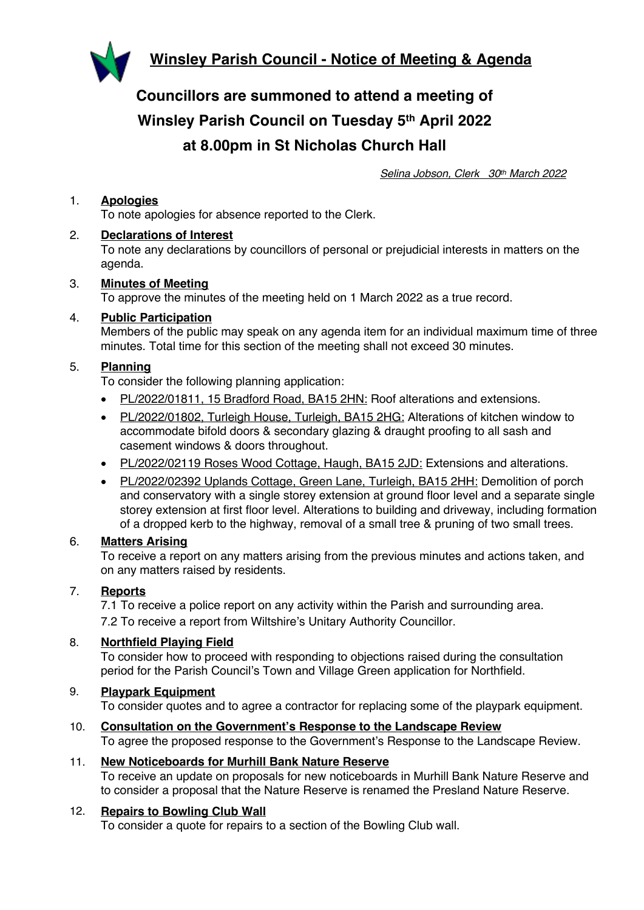



**Councillors are summoned to attend a meeting of Winsley Parish Council on Tuesday 5th April 2022 at 8.00pm in St Nicholas Church Hall**

*Selina Jobson, Clerk 30th March 2022*

### 1. **Apologies**

To note apologies for absence reported to the Clerk.

### 2. **Declarations of Interest**

To note any declarations by councillors of personal or prejudicial interests in matters on the agenda.

# 3. **Minutes of Meeting**

To approve the minutes of the meeting held on 1 March 2022 as a true record.

### 4. **Public Participation**

Members of the public may speak on any agenda item for an individual maximum time of three minutes. Total time for this section of the meeting shall not exceed 30 minutes.

### 5. **Planning**

To consider the following planning application:

- PL/2022/01811, 15 Bradford Road, BA15 2HN: Roof alterations and extensions.
- PL/2022/01802, Turleigh House, Turleigh, BA15 2HG: Alterations of kitchen window to accommodate bifold doors & secondary glazing & draught proofing to all sash and casement windows & doors throughout.
- PL/2022/02119 Roses Wood Cottage, Haugh, BA15 2JD: Extensions and alterations.
- PL/2022/02392 Uplands Cottage, Green Lane, Turleigh, BA15 2HH: Demolition of porch and conservatory with a single storey extension at ground floor level and a separate single storey extension at first floor level. Alterations to building and driveway, including formation of a dropped kerb to the highway, removal of a small tree & pruning of two small trees.

### 6. **Matters Arising**

To receive a report on any matters arising from the previous minutes and actions taken, and on any matters raised by residents.

### 7. **Reports**

7.1 To receive a police report on any activity within the Parish and surrounding area.

7.2 To receive a report from Wiltshire's Unitary Authority Councillor.

### 8. **Northfield Playing Field**

To consider how to proceed with responding to objections raised during the consultation period for the Parish Council's Town and Village Green application for Northfield.

# 9. **Playpark Equipment**

To consider quotes and to agree a contractor for replacing some of the playpark equipment.

10. **Consultation on the Government's Response to the Landscape Review** To agree the proposed response to the Government's Response to the Landscape Review.

## 11. **New Noticeboards for Murhill Bank Nature Reserve**

To receive an update on proposals for new noticeboards in Murhill Bank Nature Reserve and to consider a proposal that the Nature Reserve is renamed the Presland Nature Reserve.

#### 12. **Repairs to Bowling Club Wall**

To consider a quote for repairs to a section of the Bowling Club wall.